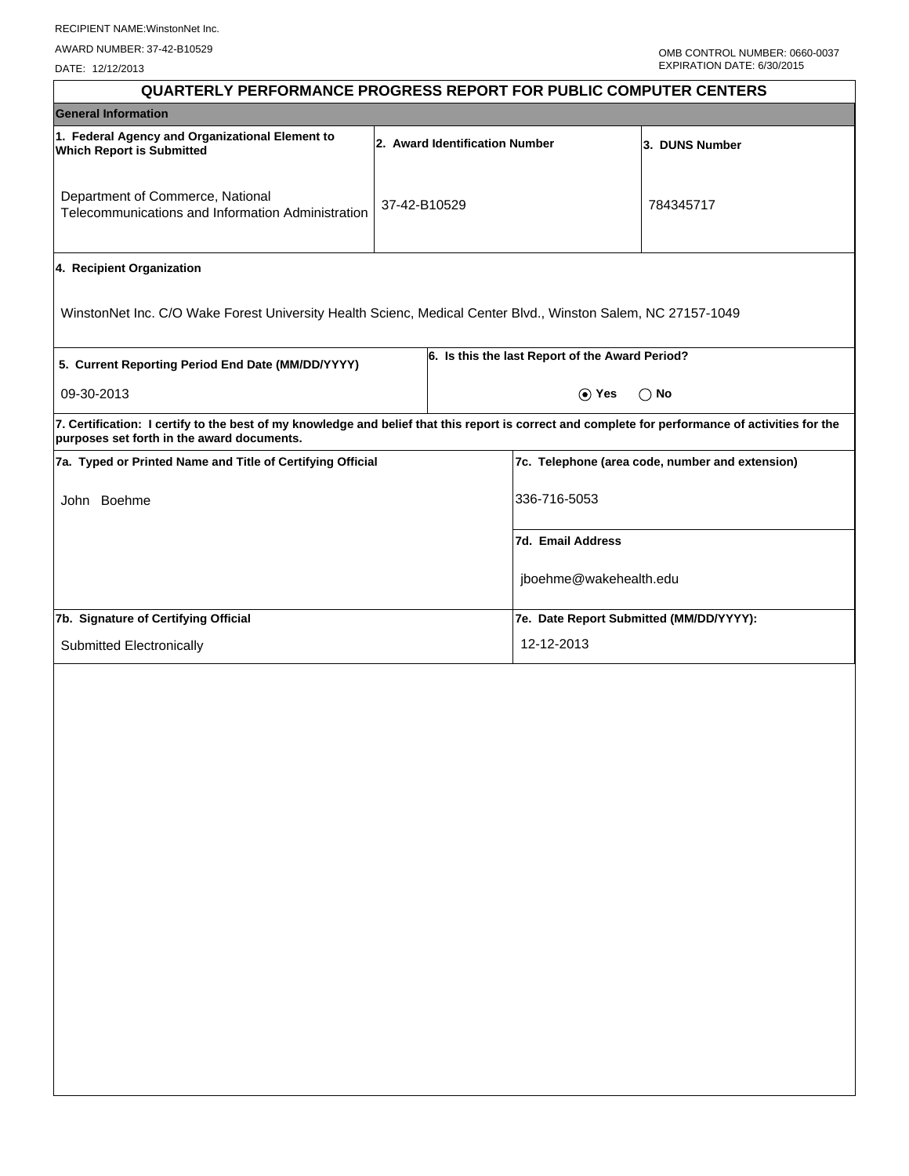DATE: 12/12/2013

| <b>QUARTERLY PERFORMANCE PROGRESS REPORT FOR PUBLIC COMPUTER CENTERS</b>                                                                                                                        |              |  |                                                 |                                                 |  |  |
|-------------------------------------------------------------------------------------------------------------------------------------------------------------------------------------------------|--------------|--|-------------------------------------------------|-------------------------------------------------|--|--|
| <b>General Information</b>                                                                                                                                                                      |              |  |                                                 |                                                 |  |  |
| 1. Federal Agency and Organizational Element to<br>2. Award Identification Number<br><b>Which Report is Submitted</b>                                                                           |              |  |                                                 | 3. DUNS Number                                  |  |  |
| Department of Commerce, National<br>Telecommunications and Information Administration                                                                                                           | 37-42-B10529 |  |                                                 | 784345717                                       |  |  |
| 4. Recipient Organization                                                                                                                                                                       |              |  |                                                 |                                                 |  |  |
| WinstonNet Inc. C/O Wake Forest University Health Scienc, Medical Center Blvd., Winston Salem, NC 27157-1049                                                                                    |              |  |                                                 |                                                 |  |  |
| 5. Current Reporting Period End Date (MM/DD/YYYY)                                                                                                                                               |              |  | 6. Is this the last Report of the Award Period? |                                                 |  |  |
| 09-30-2013                                                                                                                                                                                      |              |  | ⊙ Yes                                           | $\bigcirc$ No                                   |  |  |
| 7. Certification: I certify to the best of my knowledge and belief that this report is correct and complete for performance of activities for the<br>purposes set forth in the award documents. |              |  |                                                 |                                                 |  |  |
| 7a. Typed or Printed Name and Title of Certifying Official                                                                                                                                      |              |  |                                                 | 7c. Telephone (area code, number and extension) |  |  |
| John Boehme                                                                                                                                                                                     |              |  | 336-716-5053                                    |                                                 |  |  |
|                                                                                                                                                                                                 |              |  | 7d. Email Address                               |                                                 |  |  |
|                                                                                                                                                                                                 |              |  | jboehme@wakehealth.edu                          |                                                 |  |  |
| 7b. Signature of Certifying Official                                                                                                                                                            |              |  | 7e. Date Report Submitted (MM/DD/YYYY):         |                                                 |  |  |
| Submitted Electronically                                                                                                                                                                        |              |  | 12-12-2013                                      |                                                 |  |  |
|                                                                                                                                                                                                 |              |  |                                                 |                                                 |  |  |
|                                                                                                                                                                                                 |              |  |                                                 |                                                 |  |  |
|                                                                                                                                                                                                 |              |  |                                                 |                                                 |  |  |
|                                                                                                                                                                                                 |              |  |                                                 |                                                 |  |  |
|                                                                                                                                                                                                 |              |  |                                                 |                                                 |  |  |
|                                                                                                                                                                                                 |              |  |                                                 |                                                 |  |  |
|                                                                                                                                                                                                 |              |  |                                                 |                                                 |  |  |
|                                                                                                                                                                                                 |              |  |                                                 |                                                 |  |  |
|                                                                                                                                                                                                 |              |  |                                                 |                                                 |  |  |
|                                                                                                                                                                                                 |              |  |                                                 |                                                 |  |  |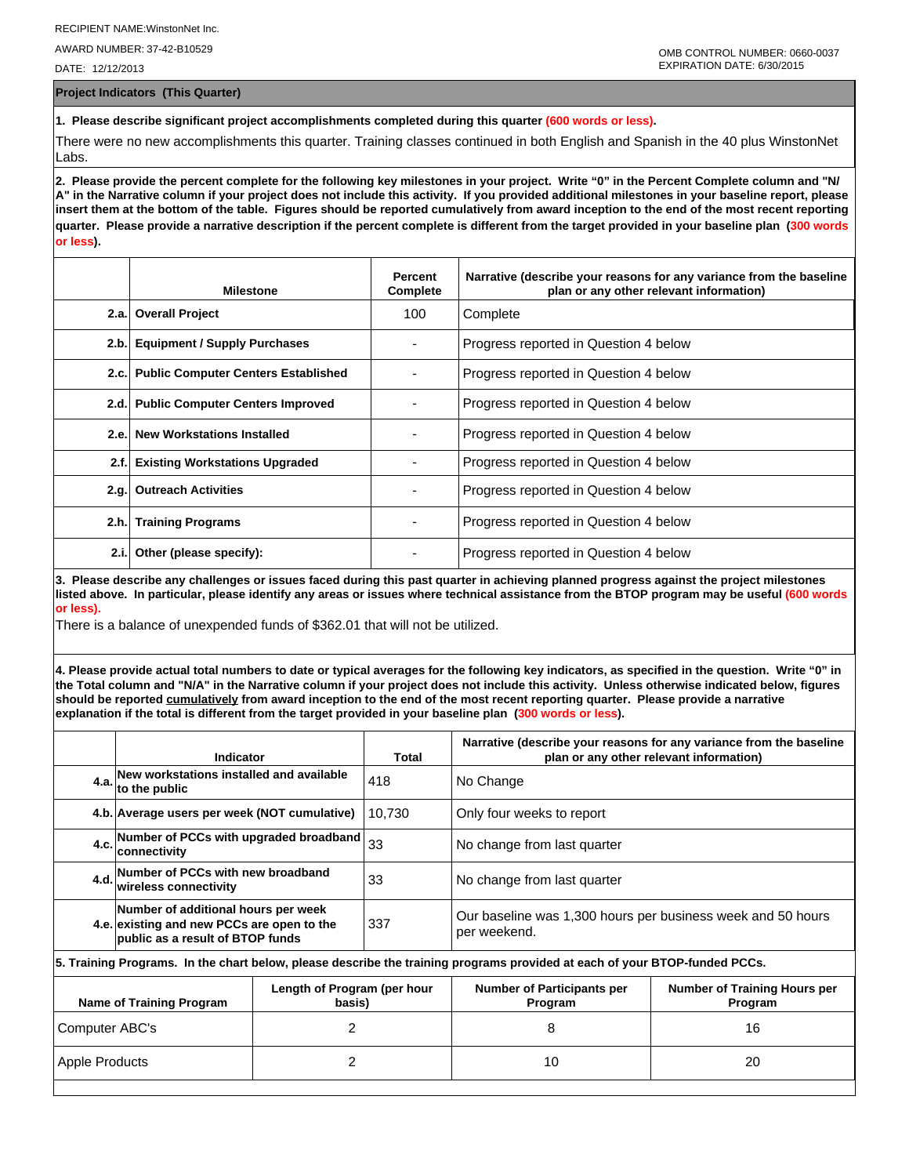AWARD NUMBER: 37-42-B10529

DATE: 12/12/2013

**Project Indicators (This Quarter)**

**1. Please describe significant project accomplishments completed during this quarter (600 words or less).**

There were no new accomplishments this quarter. Training classes continued in both English and Spanish in the 40 plus WinstonNet Labs.

**2. Please provide the percent complete for the following key milestones in your project. Write "0" in the Percent Complete column and "N/ A" in the Narrative column if your project does not include this activity. If you provided additional milestones in your baseline report, please insert them at the bottom of the table. Figures should be reported cumulatively from award inception to the end of the most recent reporting quarter. Please provide a narrative description if the percent complete is different from the target provided in your baseline plan (300 words or less).**

|      | <b>Milestone</b>                         | Percent<br>Complete | Narrative (describe your reasons for any variance from the baseline<br>plan or any other relevant information) |
|------|------------------------------------------|---------------------|----------------------------------------------------------------------------------------------------------------|
|      | 2.a. Overall Project                     | 100                 | Complete                                                                                                       |
| 2.b. | <b>Equipment / Supply Purchases</b>      |                     | Progress reported in Question 4 below                                                                          |
|      | 2.c. Public Computer Centers Established |                     | Progress reported in Question 4 below                                                                          |
|      | 2.d. Public Computer Centers Improved    |                     | Progress reported in Question 4 below                                                                          |
| 2.e. | <b>New Workstations Installed</b>        |                     | Progress reported in Question 4 below                                                                          |
| 2.f. | <b>Existing Workstations Upgraded</b>    |                     | Progress reported in Question 4 below                                                                          |
| 2.q. | <b>Outreach Activities</b>               |                     | Progress reported in Question 4 below                                                                          |
|      | 2.h. Training Programs                   |                     | Progress reported in Question 4 below                                                                          |
| 2.i. | Other (please specify):                  |                     | Progress reported in Question 4 below                                                                          |

**3. Please describe any challenges or issues faced during this past quarter in achieving planned progress against the project milestones listed above. In particular, please identify any areas or issues where technical assistance from the BTOP program may be useful (600 words or less).**

There is a balance of unexpended funds of \$362.01 that will not be utilized.

**4. Please provide actual total numbers to date or typical averages for the following key indicators, as specified in the question. Write "0" in the Total column and "N/A" in the Narrative column if your project does not include this activity. Unless otherwise indicated below, figures should be reported cumulatively from award inception to the end of the most recent reporting quarter. Please provide a narrative explanation if the total is different from the target provided in your baseline plan (300 words or less).** 

|                                                                   | Indicator                                                                                                                  |  | Narrative (describe your reasons for any variance from the baseline<br>plan or any other relevant information)<br>Total |                                                                             |  |  |  |
|-------------------------------------------------------------------|----------------------------------------------------------------------------------------------------------------------------|--|-------------------------------------------------------------------------------------------------------------------------|-----------------------------------------------------------------------------|--|--|--|
| 4.a.                                                              | New workstations installed and available<br>to the public                                                                  |  | 418                                                                                                                     | No Change                                                                   |  |  |  |
|                                                                   | 4.b. Average users per week (NOT cumulative)                                                                               |  | 10.730                                                                                                                  | Only four weeks to report                                                   |  |  |  |
|                                                                   | 4.c. Number of PCCs with upgraded broadband<br>connectivity                                                                |  | 33                                                                                                                      | No change from last quarter                                                 |  |  |  |
|                                                                   | 4.d. Number of PCCs with new broadband<br>wireless connectivity                                                            |  | 33                                                                                                                      | No change from last quarter                                                 |  |  |  |
|                                                                   | Number of additional hours per week<br>4.e. existing and new PCCs are open to the<br>public as a result of BTOP funds      |  | 337                                                                                                                     | Our baseline was 1,300 hours per business week and 50 hours<br>per weekend. |  |  |  |
|                                                                   | 5. Training Programs. In the chart below, please describe the training programs provided at each of your BTOP-funded PCCs. |  |                                                                                                                         |                                                                             |  |  |  |
| Length of Program (per hour<br>Name of Training Program<br>basis) |                                                                                                                            |  | <b>Number of Participants per</b><br>Program                                                                            | <b>Number of Training Hours per</b><br>Program                              |  |  |  |
| 2<br>Computer ABC's                                               |                                                                                                                            |  | 8                                                                                                                       | 16                                                                          |  |  |  |
|                                                                   |                                                                                                                            |  |                                                                                                                         |                                                                             |  |  |  |

Apple Products 2 10 20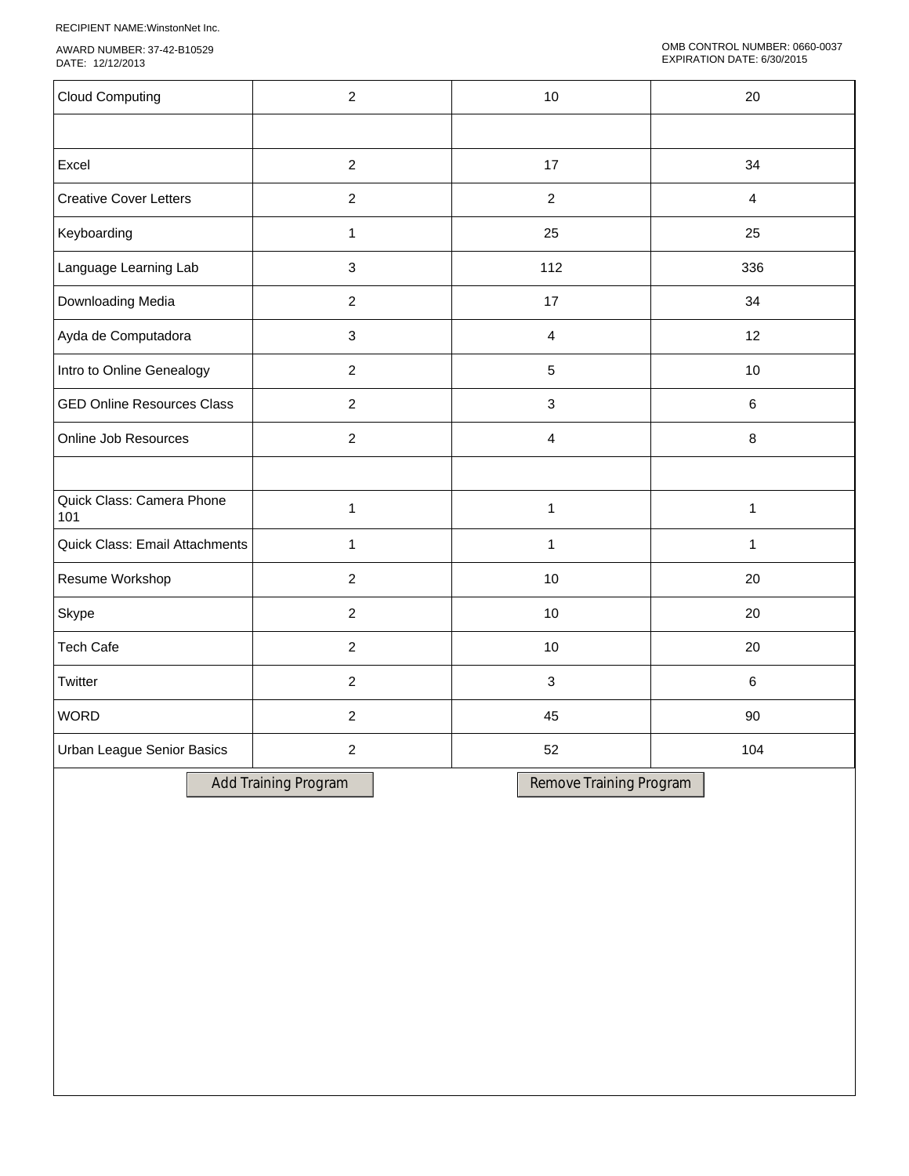RECIPIENT NAME:WinstonNet Inc.

AWARD NUMBER: 37-42-B10529 DATE: 12/12/2013

| <b>Cloud Computing</b>            | $\overline{2}$ | 10                      | 20             |
|-----------------------------------|----------------|-------------------------|----------------|
|                                   |                |                         |                |
| Excel                             | $\overline{c}$ | 17                      | 34             |
| <b>Creative Cover Letters</b>     | $\overline{2}$ | $\overline{2}$          | $\overline{4}$ |
| Keyboarding                       | 1              | 25                      | 25             |
| Language Learning Lab             | 3              | 112                     | 336            |
| Downloading Media                 | $\overline{2}$ | 17                      | 34             |
| Ayda de Computadora               | 3              | $\overline{\mathbf{4}}$ | 12             |
| Intro to Online Genealogy         | $\overline{2}$ | 5                       | 10             |
| <b>GED Online Resources Class</b> | $\overline{2}$ | $\mathbf{3}$            | 6              |
| Online Job Resources              | $\overline{2}$ | $\overline{4}$          | 8              |
|                                   |                |                         |                |
| Quick Class: Camera Phone<br>101  | $\mathbf{1}$   | $\mathbf{1}$            | $\mathbf{1}$   |
| Quick Class: Email Attachments    | 1              | $\mathbf{1}$            | $\mathbf{1}$   |
| Resume Workshop                   | $\overline{2}$ | 10                      | 20             |
| Skype                             | $\overline{c}$ | 10                      | 20             |
| <b>Tech Cafe</b>                  | $\overline{2}$ | $10$                    | 20             |
| Twitter                           | $\overline{2}$ | $\mathfrak{S}$          | $6\phantom{1}$ |
| <b>WORD</b>                       | $\overline{2}$ | 45                      | 90             |
| Urban League Senior Basics        | $\overline{2}$ | 52                      | 104            |
|                                   |                |                         |                |

Add Training Program Remove Training Program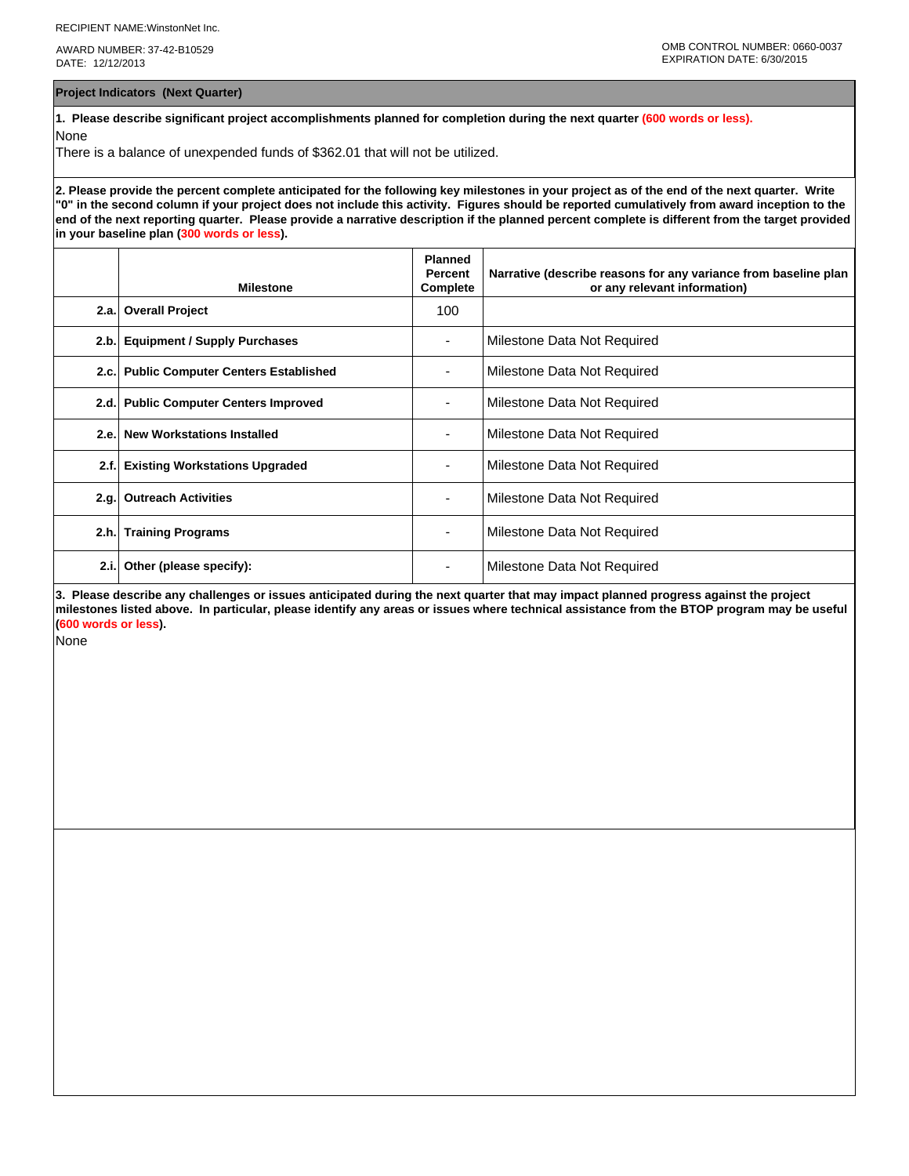AWARD NUMBER: 37-42-B10529 DATE: 12/12/2013

**Project Indicators (Next Quarter)**

**1. Please describe significant project accomplishments planned for completion during the next quarter (600 words or less).** None

There is a balance of unexpended funds of \$362.01 that will not be utilized.

**2. Please provide the percent complete anticipated for the following key milestones in your project as of the end of the next quarter. Write "0" in the second column if your project does not include this activity. Figures should be reported cumulatively from award inception to the end of the next reporting quarter. Please provide a narrative description if the planned percent complete is different from the target provided in your baseline plan (300 words or less).**

|      | <b>Milestone</b>                         | <b>Planned</b><br>Percent<br>Complete | Narrative (describe reasons for any variance from baseline plan<br>or any relevant information) |
|------|------------------------------------------|---------------------------------------|-------------------------------------------------------------------------------------------------|
|      | 2.a. Overall Project                     | 100                                   |                                                                                                 |
| 2.b. | <b>Equipment / Supply Purchases</b>      |                                       | Milestone Data Not Required                                                                     |
|      | 2.c. Public Computer Centers Established |                                       | Milestone Data Not Required                                                                     |
|      | 2.d. Public Computer Centers Improved    |                                       | Milestone Data Not Required                                                                     |
|      | 2.e. New Workstations Installed          | $\overline{\phantom{0}}$              | Milestone Data Not Required                                                                     |
| 2.f. | <b>Existing Workstations Upgraded</b>    |                                       | Milestone Data Not Required                                                                     |
| 2.q. | <b>Outreach Activities</b>               | ٠                                     | Milestone Data Not Required                                                                     |
| 2.h. | <b>Training Programs</b>                 | ٠                                     | Milestone Data Not Required                                                                     |
| 2.i. | Other (please specify):                  |                                       | Milestone Data Not Required                                                                     |

**3. Please describe any challenges or issues anticipated during the next quarter that may impact planned progress against the project milestones listed above. In particular, please identify any areas or issues where technical assistance from the BTOP program may be useful (600 words or less).**

None